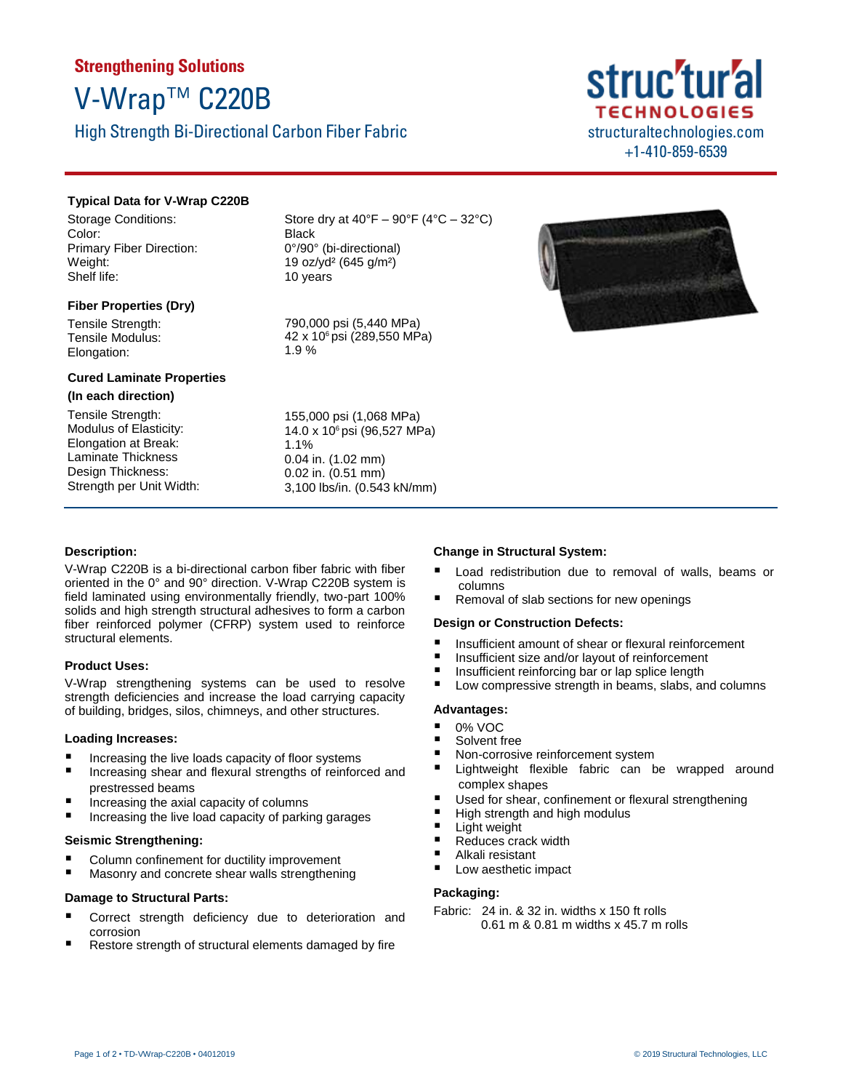## **Strengthening Solutions** V-Wrap™ C220B

High Strength Bi-Directional Carbon Fiber Fabric

### **Typical Data for V-Wrap C220B**

Storage Conditions: Color: Primary Fiber Direction: Weight: Shelf life:

### **Fiber Properties (Dry)**

Tensile Strength: Tensile Modulus: Elongation:

### **Cured Laminate Properties**

### **(In each direction)**

Tensile Strength: Modulus of Elasticity: Elongation at Break: Laminate Thickness Design Thickness: Strength per Unit Width: Store dry at  $40^{\circ}F - 90^{\circ}F (4^{\circ}C - 32^{\circ}C)$ Black 0°/90° (bi-directional) 19 oz/yd² (645 g/m²) 10 years

790,000 psi (5,440 MPa) 42 x 106 psi (289,550 MPa) 1.9 %

155,000 psi (1,068 MPa) 14.0 x 106 psi (96,527 MPa) 1.1% 0.04 in. (1.02 mm) 0.02 in. (0.51 mm) 3,100 lbs/in. (0.543 kN/mm)

## struc'tur'al **TECHNOLOGIES** structuraltechnologies.com +1-410-859-6539



### **Description:**

V-Wrap C220B is a bi-directional carbon fiber fabric with fiber oriented in the 0° and 90° direction. V-Wrap C220B system is field laminated using environmentally friendly, two-part 100% solids and high strength structural adhesives to form a carbon fiber reinforced polymer (CFRP) system used to reinforce structural elements.

### **Product Uses:**

V-Wrap strengthening systems can be used to resolve strength deficiencies and increase the load carrying capacity of building, bridges, silos, chimneys, and other structures.

### **Loading Increases:**

- Increasing the live loads capacity of floor systems
- Increasing shear and flexural strengths of reinforced and prestressed beams
- Increasing the axial capacity of columns
- Increasing the live load capacity of parking garages

### **Seismic Strengthening:**

- Column confinement for ductility improvement
- Masonry and concrete shear walls strengthening

### **Damage to Structural Parts:**

- Correct strength deficiency due to deterioration and corrosion
- Restore strength of structural elements damaged by fire

### **Change in Structural System:**

- Load redistribution due to removal of walls, beams or columns
- Removal of slab sections for new openings

### **Design or Construction Defects:**

- Insufficient amount of shear or flexural reinforcement
- Insufficient size and/or layout of reinforcement
- Insufficient reinforcing bar or lap splice length<br>■ Low compressive strength in beams, slabs, an
- Low compressive strength in beams, slabs, and columns

### **Advantages:**

- 0% VOC
- Solvent free
- Non-corrosive reinforcement system
- Lightweight flexible fabric can be wrapped around complex shapes
- Used for shear, confinement or flexural strengthening
- High strength and high modulus
- Light weight
- Reduces crack width
- Alkali resistant
- Low aesthetic impact

### **Packaging:**

Fabric: 24 in. & 32 in. widths x 150 ft rolls 0.61 m & 0.81 m widths x 45.7 m rolls